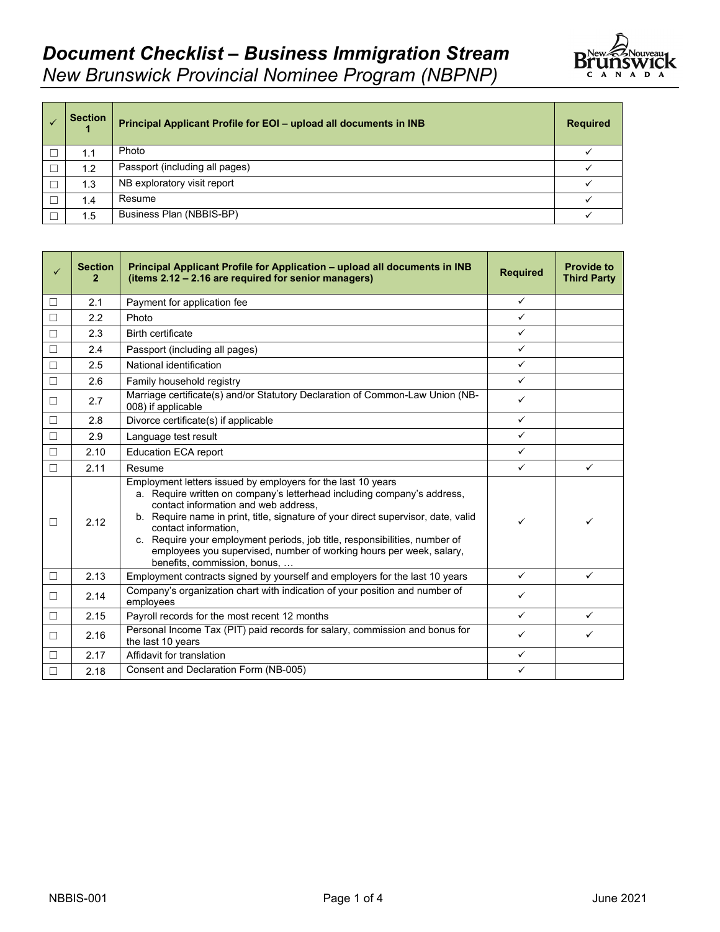

| <b>Section</b> | Principal Applicant Profile for EOI - upload all documents in INB | <b>Required</b> |
|----------------|-------------------------------------------------------------------|-----------------|
| 1.1            | Photo                                                             |                 |
| 1.2            | Passport (including all pages)                                    |                 |
| 1.3            | NB exploratory visit report                                       |                 |
| 1.4            | Resume                                                            |                 |
| 1.5            | Business Plan (NBBIS-BP)                                          |                 |

| $\checkmark$ | <b>Section</b><br>2 | Principal Applicant Profile for Application - upload all documents in INB<br>(items 2.12 - 2.16 are required for senior managers)                                                                                                                                                                                                                                                                                                                                                 | <b>Required</b> | <b>Provide to</b><br><b>Third Party</b> |
|--------------|---------------------|-----------------------------------------------------------------------------------------------------------------------------------------------------------------------------------------------------------------------------------------------------------------------------------------------------------------------------------------------------------------------------------------------------------------------------------------------------------------------------------|-----------------|-----------------------------------------|
| П            | 2.1                 | Payment for application fee                                                                                                                                                                                                                                                                                                                                                                                                                                                       | $\checkmark$    |                                         |
| $\Box$       | 2.2                 | Photo                                                                                                                                                                                                                                                                                                                                                                                                                                                                             | $\checkmark$    |                                         |
| $\Box$       | 2.3                 | <b>Birth certificate</b>                                                                                                                                                                                                                                                                                                                                                                                                                                                          | $\checkmark$    |                                         |
| $\Box$       | 2.4                 | Passport (including all pages)                                                                                                                                                                                                                                                                                                                                                                                                                                                    | $\checkmark$    |                                         |
| $\Box$       | 2.5                 | National identification                                                                                                                                                                                                                                                                                                                                                                                                                                                           | $\checkmark$    |                                         |
| $\Box$       | 2.6                 | Family household registry                                                                                                                                                                                                                                                                                                                                                                                                                                                         | $\checkmark$    |                                         |
| $\Box$       | 2.7                 | Marriage certificate(s) and/or Statutory Declaration of Common-Law Union (NB-<br>008) if applicable                                                                                                                                                                                                                                                                                                                                                                               | $\checkmark$    |                                         |
| $\Box$       | 2.8                 | Divorce certificate(s) if applicable                                                                                                                                                                                                                                                                                                                                                                                                                                              | $\checkmark$    |                                         |
| $\Box$       | 2.9                 | Language test result                                                                                                                                                                                                                                                                                                                                                                                                                                                              | $\checkmark$    |                                         |
| $\Box$       | 2.10                | <b>Education ECA report</b>                                                                                                                                                                                                                                                                                                                                                                                                                                                       | $\checkmark$    |                                         |
| $\Box$       | 2.11                | Resume                                                                                                                                                                                                                                                                                                                                                                                                                                                                            | $\checkmark$    | $\checkmark$                            |
| $\Box$       | 2.12                | Employment letters issued by employers for the last 10 years<br>a. Require written on company's letterhead including company's address,<br>contact information and web address,<br>b. Require name in print, title, signature of your direct supervisor, date, valid<br>contact information.<br>c. Require your employment periods, job title, responsibilities, number of<br>employees you supervised, number of working hours per week, salary,<br>benefits, commission, bonus, | ✓               | ✓                                       |
| $\Box$       | 2.13                | Employment contracts signed by yourself and employers for the last 10 years                                                                                                                                                                                                                                                                                                                                                                                                       | $\checkmark$    | $\checkmark$                            |
| $\Box$       | 2.14                | Company's organization chart with indication of your position and number of<br>employees                                                                                                                                                                                                                                                                                                                                                                                          | ✓               |                                         |
| П            | 2.15                | Payroll records for the most recent 12 months                                                                                                                                                                                                                                                                                                                                                                                                                                     | $\checkmark$    | $\checkmark$                            |
| $\Box$       | 2.16                | Personal Income Tax (PIT) paid records for salary, commission and bonus for<br>the last 10 years                                                                                                                                                                                                                                                                                                                                                                                  | ✓               | ✓                                       |
| $\Box$       | 2.17                | Affidavit for translation                                                                                                                                                                                                                                                                                                                                                                                                                                                         | $\checkmark$    |                                         |
| $\Box$       | 2.18                | Consent and Declaration Form (NB-005)                                                                                                                                                                                                                                                                                                                                                                                                                                             | $\checkmark$    |                                         |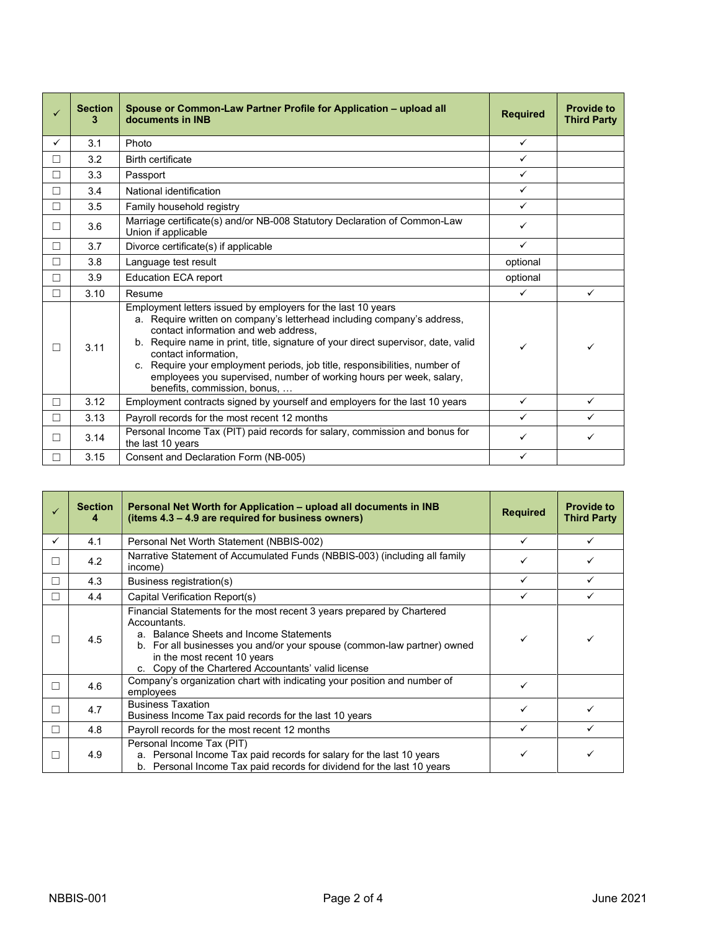| ✓            | <b>Section</b><br>з | Spouse or Common-Law Partner Profile for Application – upload all<br>documents in INB                                                                                                                                                                                                                                                                                                                                                                                             | <b>Required</b> | <b>Provide to</b><br><b>Third Party</b> |
|--------------|---------------------|-----------------------------------------------------------------------------------------------------------------------------------------------------------------------------------------------------------------------------------------------------------------------------------------------------------------------------------------------------------------------------------------------------------------------------------------------------------------------------------|-----------------|-----------------------------------------|
| $\checkmark$ | 3.1                 | Photo                                                                                                                                                                                                                                                                                                                                                                                                                                                                             | $\checkmark$    |                                         |
| П            | 3.2                 | <b>Birth certificate</b>                                                                                                                                                                                                                                                                                                                                                                                                                                                          | ✓               |                                         |
| П            | 3.3                 | Passport                                                                                                                                                                                                                                                                                                                                                                                                                                                                          | $\checkmark$    |                                         |
| $\Box$       | 3.4                 | National identification                                                                                                                                                                                                                                                                                                                                                                                                                                                           | $\checkmark$    |                                         |
| $\Box$       | 3.5                 | Family household registry                                                                                                                                                                                                                                                                                                                                                                                                                                                         | $\checkmark$    |                                         |
| П            | 3.6                 | Marriage certificate(s) and/or NB-008 Statutory Declaration of Common-Law<br>Union if applicable                                                                                                                                                                                                                                                                                                                                                                                  | $\checkmark$    |                                         |
| П            | 3.7                 | Divorce certificate(s) if applicable                                                                                                                                                                                                                                                                                                                                                                                                                                              | $\checkmark$    |                                         |
| П            | 3.8                 | Language test result                                                                                                                                                                                                                                                                                                                                                                                                                                                              | optional        |                                         |
| П            | 3.9                 | <b>Education ECA report</b>                                                                                                                                                                                                                                                                                                                                                                                                                                                       | optional        |                                         |
| П            | 3.10                | Resume                                                                                                                                                                                                                                                                                                                                                                                                                                                                            | $\checkmark$    | $\checkmark$                            |
| П            | 3.11                | Employment letters issued by employers for the last 10 years<br>a. Require written on company's letterhead including company's address,<br>contact information and web address,<br>b. Require name in print, title, signature of your direct supervisor, date, valid<br>contact information.<br>c. Require your employment periods, job title, responsibilities, number of<br>employees you supervised, number of working hours per week, salary,<br>benefits, commission, bonus, | ✓               | ✓                                       |
| П            | 3.12                | Employment contracts signed by yourself and employers for the last 10 years                                                                                                                                                                                                                                                                                                                                                                                                       | $\checkmark$    | $\checkmark$                            |
| П            | 3.13                | Payroll records for the most recent 12 months                                                                                                                                                                                                                                                                                                                                                                                                                                     | ✓               | $\checkmark$                            |
| П            | 3.14                | Personal Income Tax (PIT) paid records for salary, commission and bonus for<br>the last 10 years                                                                                                                                                                                                                                                                                                                                                                                  | ✓               | ✓                                       |
| п            | 3.15                | Consent and Declaration Form (NB-005)                                                                                                                                                                                                                                                                                                                                                                                                                                             | $\checkmark$    |                                         |

|              | <b>Section</b><br>4 | Personal Net Worth for Application – upload all documents in INB<br>(items 4.3 – 4.9 are required for business owners)                                                                                                                                                                             | <b>Required</b> | <b>Provide to</b><br><b>Third Party</b> |
|--------------|---------------------|----------------------------------------------------------------------------------------------------------------------------------------------------------------------------------------------------------------------------------------------------------------------------------------------------|-----------------|-----------------------------------------|
| $\checkmark$ | 4.1                 | Personal Net Worth Statement (NBBIS-002)                                                                                                                                                                                                                                                           |                 |                                         |
| П            | 4.2                 | Narrative Statement of Accumulated Funds (NBBIS-003) (including all family<br>income)                                                                                                                                                                                                              |                 |                                         |
| п            | 4.3                 | Business registration(s)                                                                                                                                                                                                                                                                           |                 |                                         |
| П            | 4.4                 | Capital Verification Report(s)                                                                                                                                                                                                                                                                     |                 |                                         |
|              | 4.5                 | Financial Statements for the most recent 3 years prepared by Chartered<br>Accountants.<br>a. Balance Sheets and Income Statements<br>b. For all businesses you and/or your spouse (common-law partner) owned<br>in the most recent 10 years<br>c. Copy of the Chartered Accountants' valid license |                 |                                         |
| п            | 4.6                 | Company's organization chart with indicating your position and number of<br>employees                                                                                                                                                                                                              |                 |                                         |
| П            | 4.7                 | <b>Business Taxation</b><br>Business Income Tax paid records for the last 10 years                                                                                                                                                                                                                 |                 |                                         |
| $\Box$       | 4.8                 | Payroll records for the most recent 12 months                                                                                                                                                                                                                                                      |                 |                                         |
| □            | 4.9                 | Personal Income Tax (PIT)<br>a. Personal Income Tax paid records for salary for the last 10 years<br>b. Personal Income Tax paid records for dividend for the last 10 years                                                                                                                        |                 |                                         |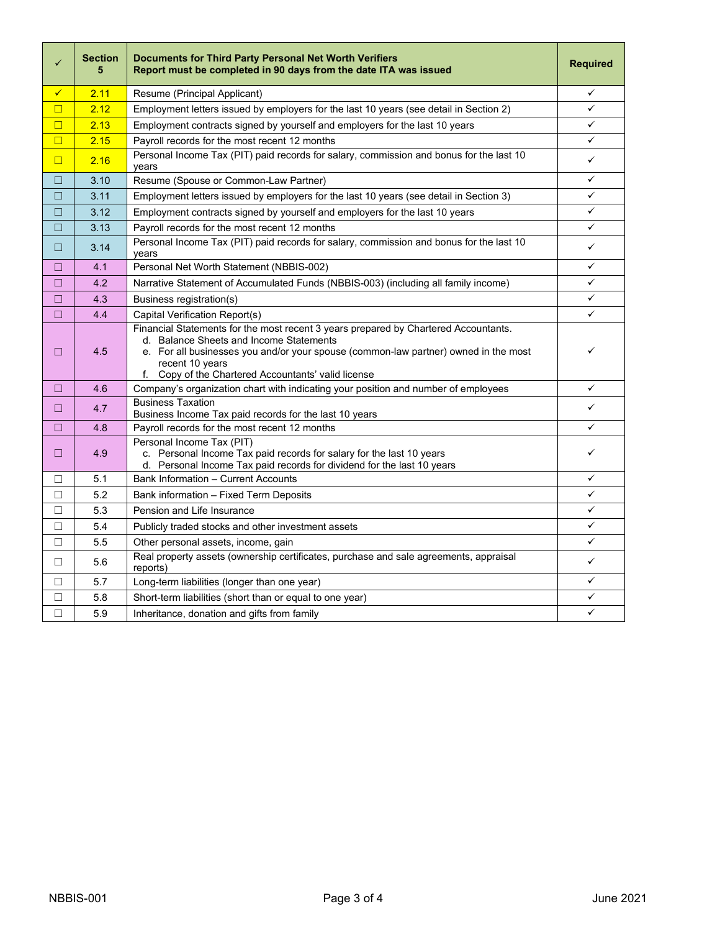| ✓      | <b>Section</b><br>5 | Documents for Third Party Personal Net Worth Verifiers<br>Report must be completed in 90 days from the date ITA was issued                                                                                                                                                                         | <b>Required</b> |
|--------|---------------------|----------------------------------------------------------------------------------------------------------------------------------------------------------------------------------------------------------------------------------------------------------------------------------------------------|-----------------|
| ✓      | 2.11                | Resume (Principal Applicant)                                                                                                                                                                                                                                                                       | ✓               |
| $\Box$ | 2.12                | Employment letters issued by employers for the last 10 years (see detail in Section 2)                                                                                                                                                                                                             |                 |
| $\Box$ | 2.13                | Employment contracts signed by yourself and employers for the last 10 years                                                                                                                                                                                                                        | ✓               |
| $\Box$ | 2.15                | Payroll records for the most recent 12 months                                                                                                                                                                                                                                                      | ✓               |
| $\Box$ | 2.16                | Personal Income Tax (PIT) paid records for salary, commission and bonus for the last 10<br>years                                                                                                                                                                                                   | $\checkmark$    |
| $\Box$ | 3.10                | Resume (Spouse or Common-Law Partner)                                                                                                                                                                                                                                                              | ✓               |
| □      | 3.11                | Employment letters issued by employers for the last 10 years (see detail in Section 3)                                                                                                                                                                                                             | ✓               |
| □      | 3.12                | Employment contracts signed by yourself and employers for the last 10 years                                                                                                                                                                                                                        | ✓               |
| $\Box$ | 3.13                | Payroll records for the most recent 12 months                                                                                                                                                                                                                                                      | ✓               |
| $\Box$ | 3.14                | Personal Income Tax (PIT) paid records for salary, commission and bonus for the last 10<br>years                                                                                                                                                                                                   | ✓               |
| □      | 4.1                 | Personal Net Worth Statement (NBBIS-002)                                                                                                                                                                                                                                                           | ✓               |
| □      | 4.2                 | Narrative Statement of Accumulated Funds (NBBIS-003) (including all family income)                                                                                                                                                                                                                 | ✓               |
| $\Box$ | 4.3                 | Business registration(s)                                                                                                                                                                                                                                                                           | ✓               |
| $\Box$ | 4.4                 | Capital Verification Report(s)                                                                                                                                                                                                                                                                     | ✓               |
| ▣      | 4.5                 | Financial Statements for the most recent 3 years prepared by Chartered Accountants.<br>d. Balance Sheets and Income Statements<br>e. For all businesses you and/or your spouse (common-law partner) owned in the most<br>recent 10 years<br>Copy of the Chartered Accountants' valid license<br>f. | ✓               |
| $\Box$ | 4.6                 | Company's organization chart with indicating your position and number of employees                                                                                                                                                                                                                 | ✓               |
| □      | 4.7                 | <b>Business Taxation</b><br>Business Income Tax paid records for the last 10 years                                                                                                                                                                                                                 | ✓               |
| □      | 4.8                 | Payroll records for the most recent 12 months                                                                                                                                                                                                                                                      | ✓               |
| □      | 4.9                 | Personal Income Tax (PIT)<br>c. Personal Income Tax paid records for salary for the last 10 years<br>d. Personal Income Tax paid records for dividend for the last 10 years                                                                                                                        | ✓               |
| $\Box$ | 5.1                 | <b>Bank Information - Current Accounts</b>                                                                                                                                                                                                                                                         | ✓               |
| П      | 5.2                 | Bank information - Fixed Term Deposits                                                                                                                                                                                                                                                             | ✓               |
| П      | 5.3                 | Pension and Life Insurance                                                                                                                                                                                                                                                                         | ✓               |
| П      | 5.4                 | Publicly traded stocks and other investment assets                                                                                                                                                                                                                                                 | ✓               |
| П      | 5.5                 | Other personal assets, income, gain                                                                                                                                                                                                                                                                | ✓               |
| $\Box$ | 5.6                 | Real property assets (ownership certificates, purchase and sale agreements, appraisal<br>reports)                                                                                                                                                                                                  | ✓               |
| $\Box$ | 5.7                 | Long-term liabilities (longer than one year)                                                                                                                                                                                                                                                       | ✓               |
| □      | 5.8                 | Short-term liabilities (short than or equal to one year)                                                                                                                                                                                                                                           | ✓               |
| П      | 5.9                 | Inheritance, donation and gifts from family                                                                                                                                                                                                                                                        | $\checkmark$    |